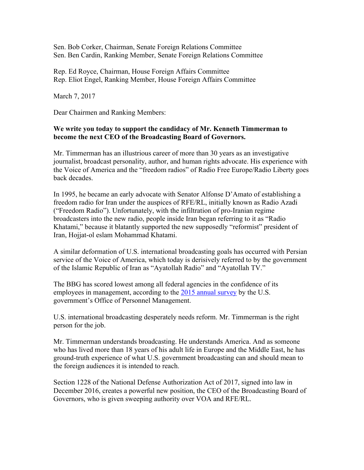Sen. Bob Corker, Chairman, Senate Foreign Relations Committee Sen. Ben Cardin, Ranking Member, Senate Foreign Relations Committee

Rep. Ed Royce, Chairman, House Foreign Affairs Committee Rep. Eliot Engel, Ranking Member, House Foreign Affairs Committee

March 7, 2017

Dear Chairmen and Ranking Members:

## **We write you today to support the candidacy of Mr. Kenneth Timmerman to become the next CEO of the Broadcasting Board of Governors.**

Mr. Timmerman has an illustrious career of more than 30 years as an investigative journalist, broadcast personality, author, and human rights advocate. His experience with the Voice of America and the "freedom radios" of Radio Free Europe/Radio Liberty goes back decades.

In 1995, he became an early advocate with Senator Alfonse D'Amato of establishing a freedom radio for Iran under the auspices of RFE/RL, initially known as Radio Azadi ("Freedom Radio"). Unfortunately, with the infiltration of pro-Iranian regime broadcasters into the new radio, people inside Iran began referring to it as "Radio Khatami," because it blatantly supported the new supposedly "reformist" president of Iran, Hojjat-ol eslam Mohammad Khatami.

A similar deformation of U.S. international broadcasting goals has occurred with Persian service of the Voice of America, which today is derisively referred to by the government of the Islamic Republic of Iran as "Ayatollah Radio" and "Ayatollah TV."

The BBG has scored lowest among all federal agencies in the confidence of its employees in management, according to the 2015 annual survey by the U.S. government's Office of Personnel Management.

U.S. international broadcasting desperately needs reform. Mr. Timmerman is the right person for the job.

Mr. Timmerman understands broadcasting. He understands America. And as someone who has lived more than 18 years of his adult life in Europe and the Middle East, he has ground-truth experience of what U.S. government broadcasting can and should mean to the foreign audiences it is intended to reach.

Section 1228 of the National Defense Authorization Act of 2017, signed into law in December 2016, creates a powerful new position, the CEO of the Broadcasting Board of Governors, who is given sweeping authority over VOA and RFE/RL.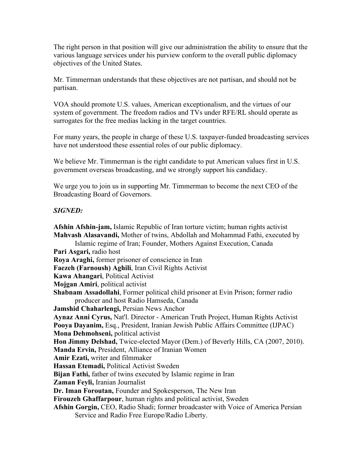The right person in that position will give our administration the ability to ensure that the various language services under his purview conform to the overall public diplomacy objectives of the United States.

Mr. Timmerman understands that these objectives are not partisan, and should not be partisan.

VOA should promote U.S. values, American exceptionalism, and the virtues of our system of government. The freedom radios and TVs under RFE/RL should operate as surrogates for the free medias lacking in the target countries.

For many years, the people in charge of these U.S. taxpayer-funded broadcasting services have not understood these essential roles of our public diplomacy.

We believe Mr. Timmerman is the right candidate to put American values first in U.S. government overseas broadcasting, and we strongly support his candidacy.

We urge you to join us in supporting Mr. Timmerman to become the next CEO of the Broadcasting Board of Governors.

## *SIGNED:*

**Afshin Afshin-jam,** Islamic Republic of Iran torture victim; human rights activist **Mahvash Alasavandi,** Mother of twins, Abdollah and Mohammad Fathi, executed by Islamic regime of Iran; Founder, Mothers Against Execution, Canada **Pari Asgari,** radio host **Roya Araghi,** former prisoner of conscience in Iran **Faezeh (Farnoush) Aghili**, Iran Civil Rights Activist **Kawa Ahangari**, Political Activist **Mojgan Amiri**, political activist **Shabnam Assadollahi**, Former political child prisoner at Evin Prison; former radio producer and host Radio Hamseda, Canada **Jamshid Chaharlengi,** Persian News Anchor **Aynaz Anni Cyrus,** Nat'l. Director - American Truth Project, Human Rights Activist **Pooya Dayanim,** Esq., President, Iranian Jewish Public Affairs Committee (IJPAC) **Mona Dehmohseni,** political activist **Hon Jimmy Delshad,** Twice-elected Mayor (Dem.) of Beverly Hills, CA (2007, 2010). **Manda Ervin,** President, Alliance of Iranian Women **Amir Ezati,** writer and filmmaker **Hassan Etemadi,** Political Activist Sweden **Bijan Fathi,** father of twins executed by Islamic regime in Iran **Zaman Feyli,** Iranian Journalist **Dr. Iman Foroutan,** Founder and Spokesperson, The New Iran **Firouzeh Ghaffarpour**, human rights and political activist, Sweden **Afshin Gorgin,** CEO, Radio Shadi; former broadcaster with Voice of America Persian Service and Radio Free Europe/Radio Liberty.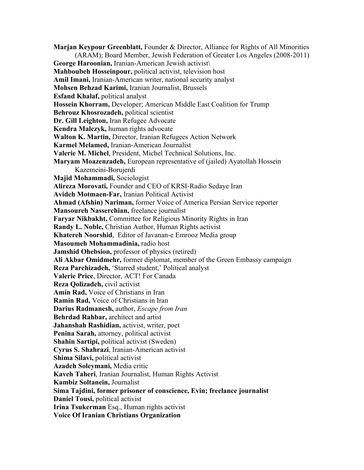**Marjan Keypour Greenblatt,** Founder & Director, Alliance for Rights of All Minorities (ARAM); Board Member, Jewish Federation of Greater Los Angeles (2008-2011) **George Haroonian,** Iranian-American Jewish activist\ **Mahboubeh Hosseinpour,** political activist, television host **Amil Imani,** Iranian-American writer, national security analyst **Mohsen Behzad Karimi,** Iranian Journalist, Brussels **Esfand Khalaf,** political analyst **Hossein Khorram,** Developer; American Middle East Coalition for Trump **Behrouz Khosrozadeh,** political scientist **Dr. Gill Leighton,** Iran Refugee Advocate **Kendra Malczyk,** human rights advocate **Walton K. Martin,** Director, Iranian Refugees Action Network **Karmel Melamed,** Iranian-American Journalist **Valerie M. Michel**, President, Michel Technical Solutions, Inc. **Maryam Moazenzadeh,** European representative of (jailed) Ayatollah Hossein Kazemeini-Borujerdi **Majid Mohammadi,** Sociologist **Alireza Morovati,** Founder and CEO of KRSI-Radio Sedaye Iran **Avideh Motmaen-Far,** Iranian Political Activist **Ahmad (Afshin) Nariman,** former Voice of America Persian Service reporter **Mansoureh Nasserchian,** freelance journalist **Faryar Nikbakht,** Committee for Religious Minority Rights in Iran **Randy L. Noble,** Christian Author, Human Rights activist **Khatereh Noorshid**, Editor of Javanan-e Emrooz Media group **Masoumeh Mohammadinia,** radio host **Jamshid Ohebsion,** professor of physics (retired) **Ali Akbar Omidmehr,** former diplomat, member of the Green Embassy campaign **Reza Parchizadeh,** 'Starred student,' Political analyst **Valerie Price**, Director, ACT! For Canada **Reza Qolizadeh,** civil activist **Amin Rad,** Voice of Christians in Iran **Ramin Rad,** Voice of Christians in Iran **Darius Radmanesh,** author, *Escape from Iran* **Behrdad Rahbar,** architect and artist **Jahanshah Rashidian,** activist, writer, poet **Penina Sarah,** attorney, political activist **Shahin Sartipi,** political activist (Sweden) **Cyrus S. Shahrazi**, Iranian-American activist **Shima Silavi,** political activist **Azadeh Soleymani,** Media critic **Kaveh Taheri**, Iranian Journalist, Human Rights Activist **Kambiz Soltanein,** Journalist **Sima Tajdini, former prisoner of conscience, Evin; freelance journalist Daniel Tousi,** political activist **Irina Tsukerman** Esq., Human rights activist **Voice Of Iranian Christians Organization**